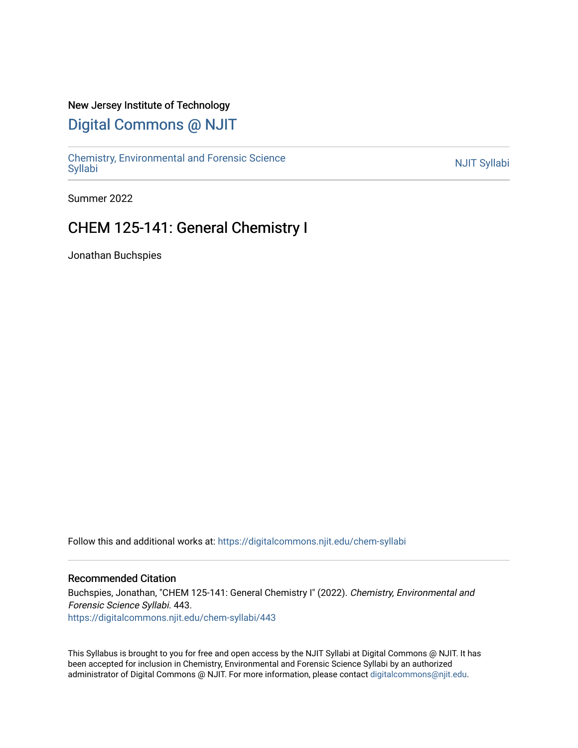### New Jersey Institute of Technology

## [Digital Commons @ NJIT](https://digitalcommons.njit.edu/)

Chemistry, Environmental and Forensic Science<br>Syllabi

Summer 2022

## CHEM 125-141: General Chemistry I

Jonathan Buchspies

Follow this and additional works at: [https://digitalcommons.njit.edu/chem-syllabi](https://digitalcommons.njit.edu/chem-syllabi?utm_source=digitalcommons.njit.edu%2Fchem-syllabi%2F443&utm_medium=PDF&utm_campaign=PDFCoverPages) 

#### Recommended Citation

Buchspies, Jonathan, "CHEM 125-141: General Chemistry I" (2022). Chemistry, Environmental and Forensic Science Syllabi. 443. [https://digitalcommons.njit.edu/chem-syllabi/443](https://digitalcommons.njit.edu/chem-syllabi/443?utm_source=digitalcommons.njit.edu%2Fchem-syllabi%2F443&utm_medium=PDF&utm_campaign=PDFCoverPages) 

This Syllabus is brought to you for free and open access by the NJIT Syllabi at Digital Commons @ NJIT. It has been accepted for inclusion in Chemistry, Environmental and Forensic Science Syllabi by an authorized administrator of Digital Commons @ NJIT. For more information, please contact [digitalcommons@njit.edu.](mailto:digitalcommons@njit.edu)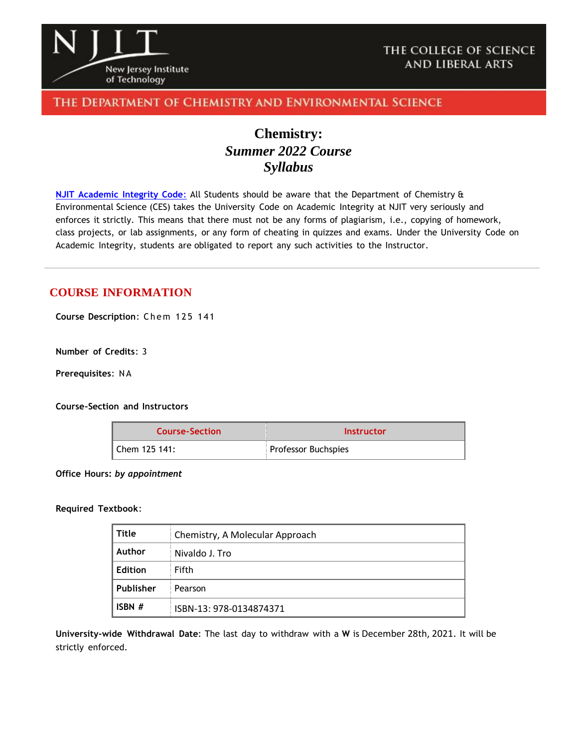

### THE DEPARTMENT OF CHEMISTRY AND ENVIRONMENTAL SCIENCE

# **Chemistry:** *Summer 2022 Course Syllabus*

**NJIT [Academic](https://www.njit.edu/policies/sites/policies/files/academic-integrity-code.pdf) Integrity Code**: All Students should be aware that the Department of Chemistry & Environmental Science (CES) takes the University Code on Academic Integrity at NJIT very seriously and enforces it strictly. This means that there must not be any forms of plagiarism, i.e., copying of homework, class projects, or lab assignments, or any form of cheating in quizzes and exams. Under the University Code on Academic Integrity, students are obligated to report any such activities to the Instructor.

### **COURSE INFORMATION**

**Course Description**: Chem 1 2 5 141

**Number of Credits**: 3

**Prerequisites**: N A

**Course-Section and Instructors**

| <b>Course-Section</b> | Instructor                 |
|-----------------------|----------------------------|
| l Chem 125 141:       | <b>Professor Buchspies</b> |

**Office Hours:** *by appointment*

#### **Required Textbook**:

| Title     | Chemistry, A Molecular Approach |
|-----------|---------------------------------|
| Author    | Nivaldo J. Tro                  |
| Edition   | Fifth                           |
| Publisher | Pearson                         |
| ISBN $#$  | ISBN-13: 978-0134874371         |

**University-wide Withdrawal Date**: The last day to withdraw with a **W** is December 28th, 2021. It will be strictly enforced.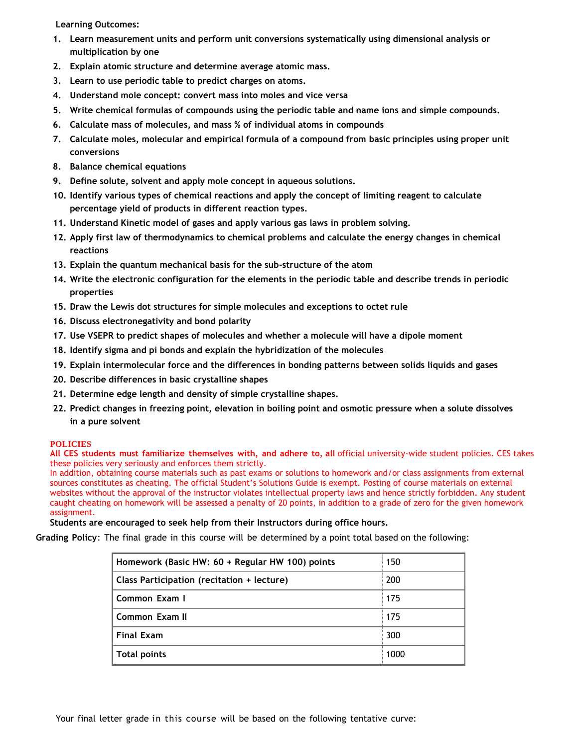**Learning Outcomes:**

- **1. Learn measurement units and perform unit conversions systematically using dimensional analysis or multiplication by one**
- **2. Explain atomic structure and determine average atomic mass.**
- **3. Learn to use periodic table to predict charges on atoms.**
- **4. Understand mole concept: convert mass into moles and vice versa**
- **5. Write chemical formulas of compounds using the periodic table and name ions and simple compounds.**
- **6. Calculate mass of molecules, and mass % of individual atoms in compounds**
- **7. Calculate moles, molecular and empirical formula of a compound from basic principles using proper unit conversions**
- **8. Balance chemical equations**
- **9. Define solute, solvent and apply mole concept in aqueous solutions.**
- **10. Identify various types of chemical reactions and apply the concept of limiting reagent to calculate percentage yield of products in different reaction types.**
- **11. Understand Kinetic model of gases and apply various gas laws in problem solving.**
- **12. Apply first law of thermodynamics to chemical problems and calculate the energy changes in chemical reactions**
- **13. Explain the quantum mechanical basis for the sub-structure of the atom**
- **14. Write the electronic configuration for the elements in the periodic table and describe trends in periodic properties**
- **15. Draw the Lewis dot structures for simple molecules and exceptions to octet rule**
- **16. Discuss electronegativity and bond polarity**
- **17. Use VSEPR to predict shapes of molecules and whether a molecule will have a dipole moment**
- **18. Identify sigma and pi bonds and explain the hybridization of the molecules**
- **19. Explain intermolecular force and the differences in bonding patterns between solids liquids and gases**
- **20. Describe differences in basic crystalline shapes**
- **21. Determine edge length and density of simple crystalline shapes.**
- **22. Predict changes in freezing point, elevation in boiling point and osmotic pressure when a solute dissolves in a pure solvent**

#### **POLICIES**

**All CES students must familiarize themselves with, and adhere to, all** official university-wide student policies. CES takes these policies very seriously and enforces them strictly.

In addition, obtaining course materials such as past exams or solutions to homework and/or class assignments from external sources constitutes as cheating. The official Student's Solutions Guide is exempt. Posting of course materials on external websites without the approval of the instructor violates intellectual property laws and hence strictly forbidden**.** Any student caught cheating on homework will be assessed a penalty of 20 points, in addition to a grade of zero for the given homework assignment.

#### **Students are encouraged to seek help from their Instructors during office hours.**

**Grading Policy**: The final grade in this course will be determined by a point total based on the following:

| 150  |
|------|
| 200  |
| 175  |
| 175  |
| 300  |
| 1000 |
|      |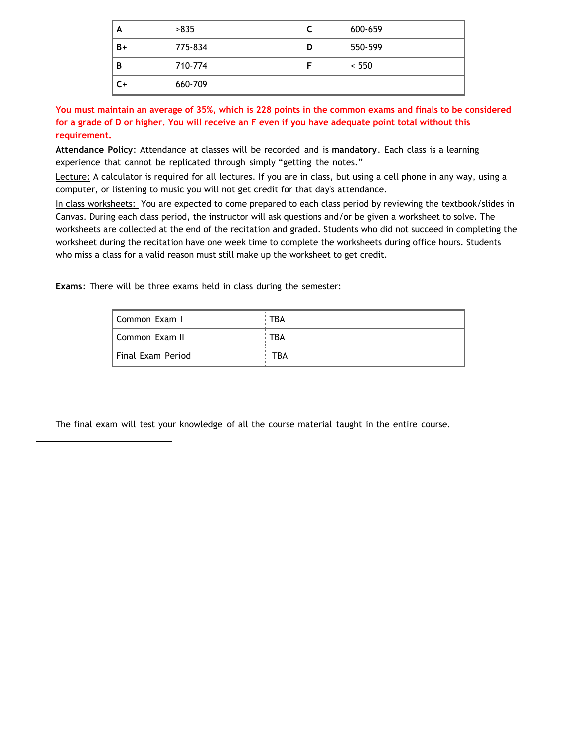| A  | >835    |   | 600-659 |
|----|---------|---|---------|
| B+ | 775-834 | D | 550-599 |
| B  | 710-774 |   | < 550   |
| C+ | 660-709 |   |         |

**You must maintain an average of 35%, which is 228 points in the common exams and finals to be considered for a grade of D or higher. You will receive an F even if you have adequate point total without this requirement.**

**Attendance Policy**: Attendance at classes will be recorded and is **mandatory**. Each class is a learning experience that cannot be replicated through simply "getting the notes."

Lecture: A calculator is required for all lectures. If you are in class, but using a cell phone in any way, using a computer, or listening to music you will not get credit for that day's attendance.

In class worksheets: You are expected to come prepared to each class period by reviewing the textbook/slides in Canvas. During each class period, the instructor will ask questions and/or be given a worksheet to solve. The worksheets are collected at the end of the recitation and graded. Students who did not succeed in completing the worksheet during the recitation have one week time to complete the worksheets during office hours. Students who miss a class for a valid reason must still make up the worksheet to get credit.

**Exams**: There will be three exams held in class during the semester:

| I Common Exam I   | TBA |
|-------------------|-----|
| Common Exam II    | TBA |
| Final Exam Period | TBA |

The final exam will test your knowledge of all the course material taught in the entire course.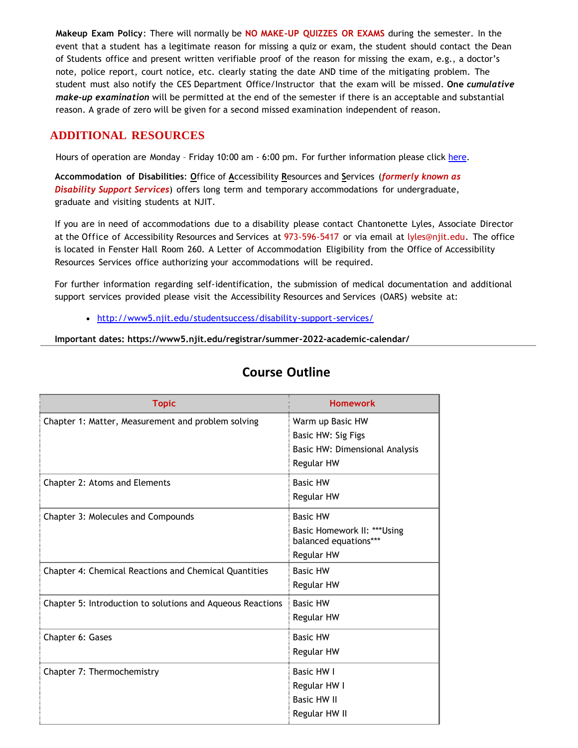**Makeup Exam Policy**: There will normally be **NO MAKE-UP QUIZZES OR EXAMS** during the semester. In the event that a student has a legitimate reason for missing a quiz or exam, the student should contact the Dean of Students office and present written verifiable proof of the reason for missing the exam, e.g., a doctor's note, police report, court notice, etc. clearly stating the date AND time of the mitigating problem. The student must also notify the CES Department Office/Instructor that the exam will be missed. **One** *cumulative make-up examination* will be permitted at the end of the semester if there is an acceptable and substantial reason. A grade of zero will be given for a second missed examination independent of reason.

## **ADDITIONAL RESOURCES**

Hours of operation are Monday – Friday 10:00 am - 6:00 pm. For further information please click [here.](http://chemistry.njit.edu/students/)

**Accommodation of Disabilities**: **O**ffice of **A**ccessibility **R**esources and **S**ervices (*formerly known as Disability Support Services*) offers long term and temporary accommodations for undergraduate, graduate and visiting students at NJIT.

If you are in need of accommodations due to a disability please contact Chantonette Lyles, Associate Director at the Office of Accessibility Resources and Services at 973-596-5417 or via email at [lyles@njit.edu.](mailto:lyles@njit.edu) The office is located in Fenster Hall Room 260. A Letter of Accommodation Eligibility from the Office of Accessibility Resources Services office authorizing your accommodations will be required.

For further information regarding self-identification, the submission of medical documentation and additional support services provided please visit the Accessibility Resources and Services (OARS) website at:

[http://www5.njit.edu/studentsuccess/disability-support-services/](http://www.njit.edu/studentsuccess/accessibility/)

**Important dates: https://www5.njit.edu/registrar/summer-2022-academic-calendar/**

| <b>Topic</b>                                               | <b>Homework</b>                |
|------------------------------------------------------------|--------------------------------|
| Chapter 1: Matter, Measurement and problem solving         | Warm up Basic HW               |
|                                                            | Basic HW: Sig Figs             |
|                                                            | Basic HW: Dimensional Analysis |
|                                                            | Regular HW                     |
| Chapter 2: Atoms and Elements                              | <b>Basic HW</b>                |
|                                                            | <b>Regular HW</b>              |
| Chapter 3: Molecules and Compounds                         | <b>Basic HW</b>                |
|                                                            | Basic Homework II: ***Using    |
|                                                            | balanced equations***          |
|                                                            | <b>Regular HW</b>              |
| Chapter 4: Chemical Reactions and Chemical Quantities      | <b>Basic HW</b>                |
|                                                            | Regular HW                     |
| Chapter 5: Introduction to solutions and Aqueous Reactions | <b>Basic HW</b>                |
|                                                            | Regular HW                     |
| Chapter 6: Gases                                           | <b>Basic HW</b>                |
|                                                            | Regular HW                     |
| Chapter 7: Thermochemistry                                 | <b>Basic HW I</b>              |
|                                                            | Regular HW I                   |
|                                                            | <b>Basic HW II</b>             |
|                                                            | Regular HW II                  |

## **Course Outline**